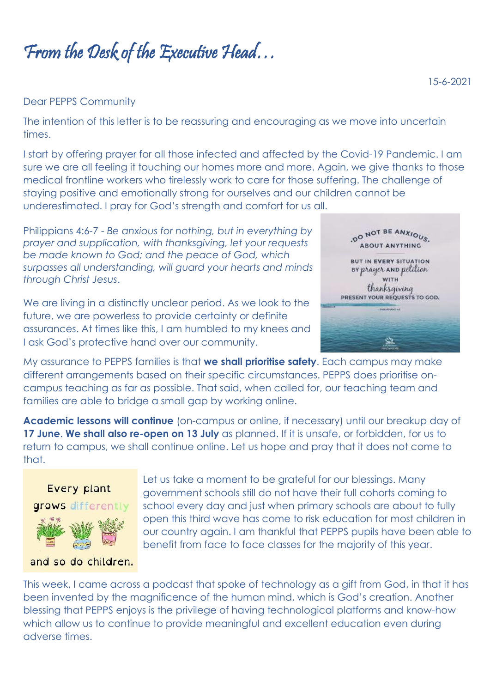From the Desk of the Executive Head…

## Dear PEPPS Community

The intention of this letter is to be reassuring and encouraging as we move into uncertain times.

I start by offering prayer for all those infected and affected by the Covid-19 Pandemic. I am sure we are all feeling it touching our homes more and more. Again, we give thanks to those medical frontline workers who tirelessly work to care for those suffering. The challenge of staying positive and emotionally strong for ourselves and our children cannot be underestimated. I pray for God's strength and comfort for us all.

Philippians 4:6-7 - *Be anxious for nothing, but in everything by prayer and supplication, with thanksgiving, let your requests be made known to God; and the peace of God, which surpasses all understanding, will guard your hearts and minds through Christ Jesus*.

We are living in a distinctly unclear period. As we look to the future, we are powerless to provide certainty or definite assurances. At times like this, I am humbled to my knees and I ask God's protective hand over our community.

DO NOT BE ANXIOUS. **ABOUT ANYTHING BUT IN EVERY SITUATION** BY prayer AND pelilion **WITH:** thanksgiving PRESENT YOUR REQUESTS TO GOD.

My assurance to PEPPS families is that **we shall prioritise safety**. Each campus may make different arrangements based on their specific circumstances. PEPPS does prioritise oncampus teaching as far as possible. That said, when called for, our teaching team and families are able to bridge a small gap by working online.

**Academic lessons will continue** (on-campus or online, if necessary) until our breakup day of 17 June. We shall also re-open on 13 July as planned. If it is unsafe, or forbidden, for us to return to campus, we shall continue online. Let us hope and pray that it does not come to that.



government schools still do not have their full cohorts coming to school every day and just when primary schools are about to fully open this third wave has come to risk education for most children in our country again. I am thankful that PEPPS pupils have been able to benefit from face to face classes for the majority of this year.

Let us take a moment to be grateful for our blessings. Many

and so do children.

This week, I came across a podcast that spoke of technology as a gift from God, in that it has been invented by the magnificence of the human mind, which is God's creation. Another blessing that PEPPS enjoys is the privilege of having technological platforms and know-how which allow us to continue to provide meaningful and excellent education even during adverse times.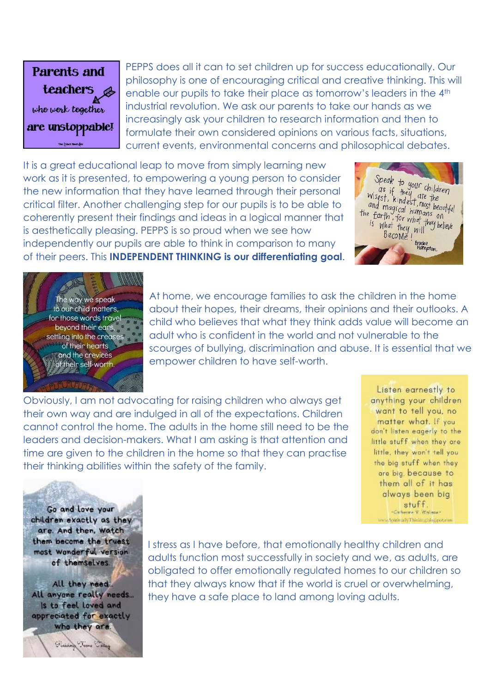

PEPPS does all it can to set children up for success educationally. Our philosophy is one of encouraging critical and creative thinking. This will enable our pupils to take their place as tomorrow's leaders in the 4<sup>th</sup> industrial revolution. We ask our parents to take our hands as we increasingly ask your children to research information and then to formulate their own considered opinions on various facts, situations, current events, environmental concerns and philosophical debates.

It is a great educational leap to move from simply learning new work as it is presented, to empowering a young person to consider the new information that they have learned through their personal critical filter. Another challenging step for our pupils is to be able to coherently present their findings and ideas in a logical manner that is aesthetically pleasing. PEPPS is so proud when we see how independently our pupils are able to think in comparison to many of their peers. This **INDEPENDENT THINKING is our differentiating goal**.





At home, we encourage families to ask the children in the home about their hopes, their dreams, their opinions and their outlooks. A child who believes that what they think adds value will become an adult who is confident in the world and not vulnerable to the scourges of bullying, discrimination and abuse. It is essential that we empower children to have self-worth.

Obviously, I am not advocating for raising children who always get their own way and are indulged in all of the expectations. Children cannot control the home. The adults in the home still need to be the leaders and decision-makers. What I am asking is that attention and time are given to the children in the home so that they can practise their thinking abilities within the safety of the family.

Listen earnestly to anything your children want to tell you, no matter what. If you don't listen eagerly to the little stuff when they are little, they won't tell you the big stuff when they are big, because to them all of it has always been big stuff. -Catherine V. Walase -.<br>Spiritually Thinking blog pot.

Go and love your children exactly as they are. And then, watch them become the truest most wonderful version of themselves.

All they reed All anyone really needs... Is to feel loved and appreciated for exactly who they are.

Jim Calle

Finisher

I stress as I have before, that emotionally healthy children and adults function most successfully in society and we, as adults, are obligated to offer emotionally regulated homes to our children so that they always know that if the world is cruel or overwhelming, they have a safe place to land among loving adults.